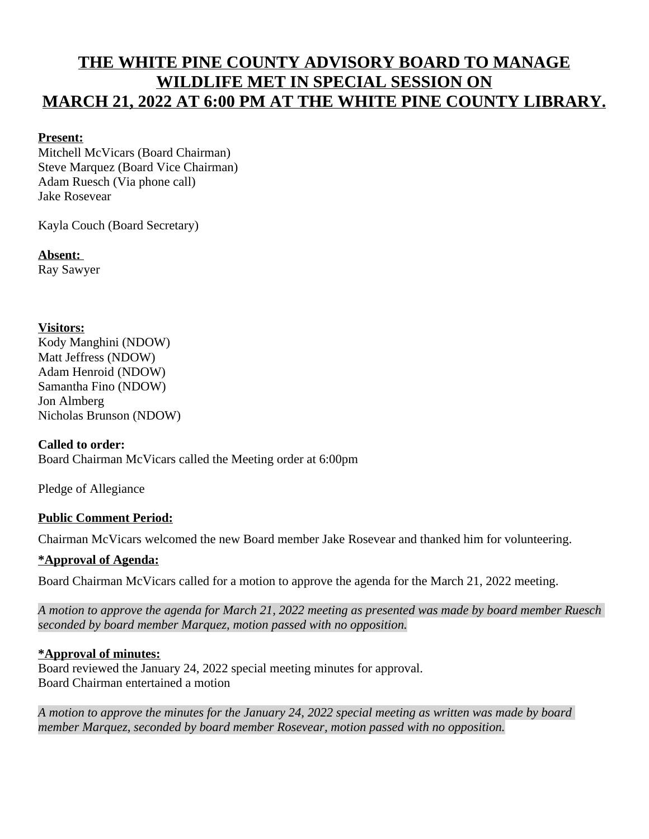# **THE WHITE PINE COUNTY ADVISORY BOARD TO MANAGE WILDLIFE MET IN SPECIAL SESSION ON MARCH 21, 2022 AT 6:00 PM AT THE WHITE PINE COUNTY LIBRARY.**

## **Present:**

Mitchell McVicars (Board Chairman) Steve Marquez (Board Vice Chairman) Adam Ruesch (Via phone call) Jake Rosevear

Kayla Couch (Board Secretary)

**Absent:**  Ray Sawyer

## **Visitors:**

Kody Manghini (NDOW) Matt Jeffress (NDOW) Adam Henroid (NDOW) Samantha Fino (NDOW) Jon Almberg Nicholas Brunson (NDOW)

#### **Called to order:**

Board Chairman McVicars called the Meeting order at 6:00pm

Pledge of Allegiance

# **Public Comment Period:**

Chairman McVicars welcomed the new Board member Jake Rosevear and thanked him for volunteering.

# **\*Approval of Agenda:**

Board Chairman McVicars called for a motion to approve the agenda for the March 21, 2022 meeting.

*A motion to approve the agenda for March 21, 2022 meeting as presented was made by board member Ruesch seconded by board member Marquez, motion passed with no opposition.*

# **\*Approval of minutes:**

Board reviewed the January 24, 2022 special meeting minutes for approval. Board Chairman entertained a motion

*A motion to approve the minutes for the January 24, 2022 special meeting as written was made by board member Marquez, seconded by board member Rosevear, motion passed with no opposition.*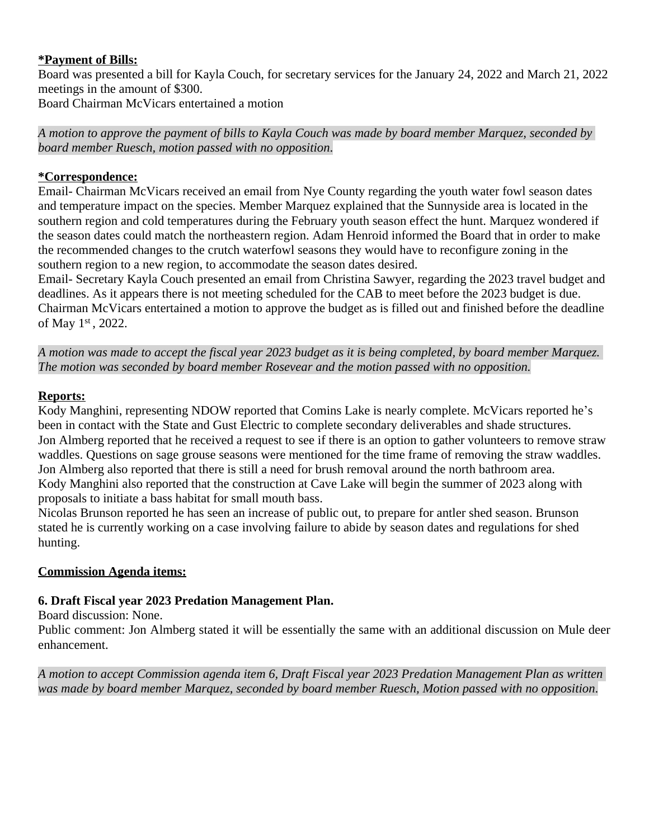### **\*Payment of Bills:**

Board was presented a bill for Kayla Couch, for secretary services for the January 24, 2022 and March 21, 2022 meetings in the amount of \$300.

Board Chairman McVicars entertained a motion

*A motion to approve the payment of bills to Kayla Couch was made by board member Marquez, seconded by board member Ruesch, motion passed with no opposition*.

#### **\*Correspondence:**

Email- Chairman McVicars received an email from Nye County regarding the youth water fowl season dates and temperature impact on the species. Member Marquez explained that the Sunnyside area is located in the southern region and cold temperatures during the February youth season effect the hunt. Marquez wondered if the season dates could match the northeastern region. Adam Henroid informed the Board that in order to make the recommended changes to the crutch waterfowl seasons they would have to reconfigure zoning in the southern region to a new region, to accommodate the season dates desired.

Email- Secretary Kayla Couch presented an email from Christina Sawyer, regarding the 2023 travel budget and deadlines. As it appears there is not meeting scheduled for the CAB to meet before the 2023 budget is due. Chairman McVicars entertained a motion to approve the budget as is filled out and finished before the deadline of May 1st, 2022.

*A motion was made to accept the fiscal year 2023 budget as it is being completed, by board member Marquez. The motion was seconded by board member Rosevear and the motion passed with no opposition.*

# **Reports:**

Kody Manghini, representing NDOW reported that Comins Lake is nearly complete. McVicars reported he's been in contact with the State and Gust Electric to complete secondary deliverables and shade structures. Jon Almberg reported that he received a request to see if there is an option to gather volunteers to remove straw waddles. Questions on sage grouse seasons were mentioned for the time frame of removing the straw waddles. Jon Almberg also reported that there is still a need for brush removal around the north bathroom area. Kody Manghini also reported that the construction at Cave Lake will begin the summer of 2023 along with proposals to initiate a bass habitat for small mouth bass.

Nicolas Brunson reported he has seen an increase of public out, to prepare for antler shed season. Brunson stated he is currently working on a case involving failure to abide by season dates and regulations for shed hunting.

# **Commission Agenda items:**

# **6. Draft Fiscal year 2023 Predation Management Plan.**

Board discussion: None.

Public comment: Jon Almberg stated it will be essentially the same with an additional discussion on Mule deer enhancement.

*A motion to accept Commission agenda item 6, Draft Fiscal year 2023 Predation Management Plan as written was made by board member Marquez, seconded by board member Ruesch, Motion passed with no opposition*.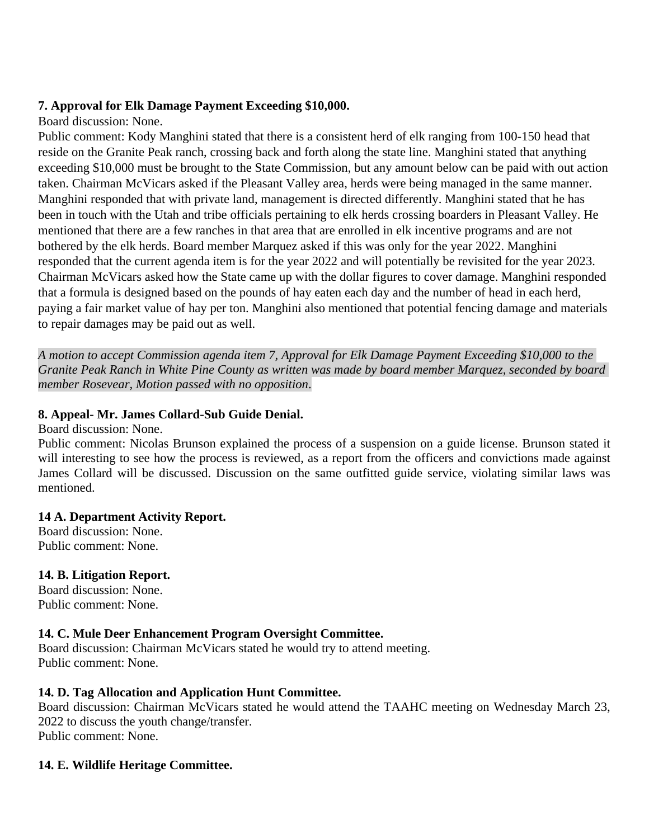#### **7. Approval for Elk Damage Payment Exceeding \$10,000.**

#### Board discussion: None.

Public comment: Kody Manghini stated that there is a consistent herd of elk ranging from 100-150 head that reside on the Granite Peak ranch, crossing back and forth along the state line. Manghini stated that anything exceeding \$10,000 must be brought to the State Commission, but any amount below can be paid with out action taken. Chairman McVicars asked if the Pleasant Valley area, herds were being managed in the same manner. Manghini responded that with private land, management is directed differently. Manghini stated that he has been in touch with the Utah and tribe officials pertaining to elk herds crossing boarders in Pleasant Valley. He mentioned that there are a few ranches in that area that are enrolled in elk incentive programs and are not bothered by the elk herds. Board member Marquez asked if this was only for the year 2022. Manghini responded that the current agenda item is for the year 2022 and will potentially be revisited for the year 2023. Chairman McVicars asked how the State came up with the dollar figures to cover damage. Manghini responded that a formula is designed based on the pounds of hay eaten each day and the number of head in each herd, paying a fair market value of hay per ton. Manghini also mentioned that potential fencing damage and materials to repair damages may be paid out as well.

*A motion to accept Commission agenda item 7, Approval for Elk Damage Payment Exceeding \$10,000 to the Granite Peak Ranch in White Pine County as written was made by board member Marquez, seconded by board member Rosevear, Motion passed with no opposition*.

## **8. Appeal- Mr. James Collard-Sub Guide Denial.**

Board discussion: None.

Public comment: Nicolas Brunson explained the process of a suspension on a guide license. Brunson stated it will interesting to see how the process is reviewed, as a report from the officers and convictions made against James Collard will be discussed. Discussion on the same outfitted guide service, violating similar laws was mentioned.

#### **14 A. Department Activity Report.**

Board discussion: None. Public comment: None.

# **14. B. Litigation Report.**

Board discussion: None. Public comment: None.

# **14. C. Mule Deer Enhancement Program Oversight Committee.**

Board discussion: Chairman McVicars stated he would try to attend meeting. Public comment: None.

# **14. D. Tag Allocation and Application Hunt Committee.**

Board discussion: Chairman McVicars stated he would attend the TAAHC meeting on Wednesday March 23, 2022 to discuss the youth change/transfer. Public comment: None.

#### **14. E. Wildlife Heritage Committee.**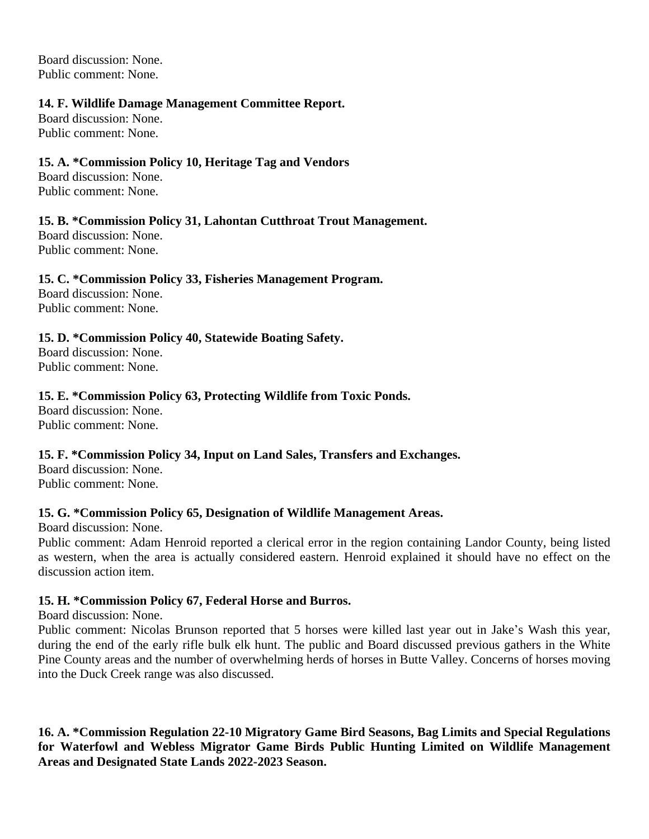Board discussion: None. Public comment: None.

#### **14. F. Wildlife Damage Management Committee Report.**

Board discussion: None. Public comment: None.

## **15. A. \*Commission Policy 10, Heritage Tag and Vendors**

Board discussion: None. Public comment: None.

# **15. B. \*Commission Policy 31, Lahontan Cutthroat Trout Management.**

Board discussion: None. Public comment: None.

# **15. C. \*Commission Policy 33, Fisheries Management Program.**

Board discussion: None. Public comment: None.

# **15. D. \*Commission Policy 40, Statewide Boating Safety.**

Board discussion: None. Public comment: None.

# **15. E. \*Commission Policy 63, Protecting Wildlife from Toxic Ponds.**

Board discussion: None. Public comment: None.

# **15. F. \*Commission Policy 34, Input on Land Sales, Transfers and Exchanges.**

Board discussion: None. Public comment: None.

#### **15. G. \*Commission Policy 65, Designation of Wildlife Management Areas.**

Board discussion: None.

Public comment: Adam Henroid reported a clerical error in the region containing Landor County, being listed as western, when the area is actually considered eastern. Henroid explained it should have no effect on the discussion action item.

# **15. H. \*Commission Policy 67, Federal Horse and Burros.**

Board discussion: None.

Public comment: Nicolas Brunson reported that 5 horses were killed last year out in Jake's Wash this year, during the end of the early rifle bulk elk hunt. The public and Board discussed previous gathers in the White Pine County areas and the number of overwhelming herds of horses in Butte Valley. Concerns of horses moving into the Duck Creek range was also discussed.

**16. A. \*Commission Regulation 22-10 Migratory Game Bird Seasons, Bag Limits and Special Regulations for Waterfowl and Webless Migrator Game Birds Public Hunting Limited on Wildlife Management Areas and Designated State Lands 2022-2023 Season.**